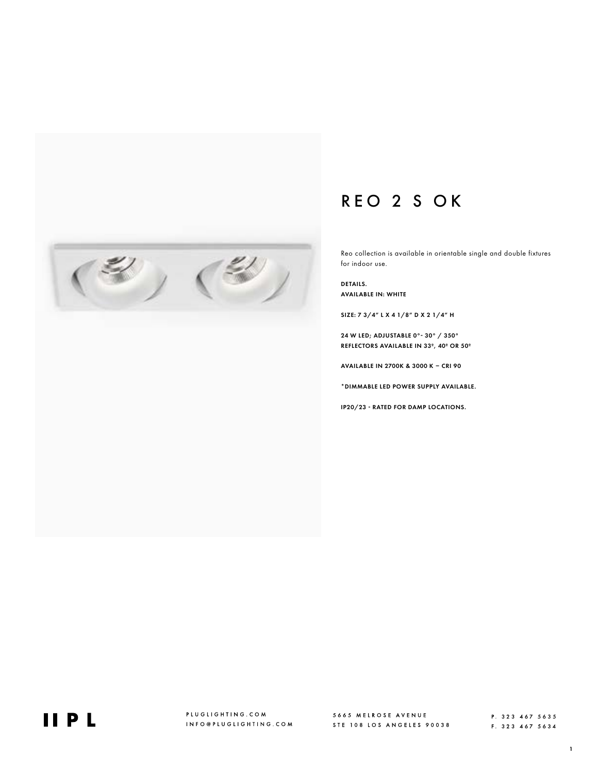## REO 2 S OK

Reo collection is available in orientable single and double fixtures for indoor use.

DETAILS. AVAILABLE IN: WHITE

SIZE: 7 3/4" L X 4 1/8" D X 2 1/4" H

24 W LED; ADJUSTABLE 0°- 30° / 350° REFLECTORS AVAILABLE IN 33º, 40º OR 50º

AVAILABLE IN 2700K & 3000 K – CRI 90

\*DIMMABLE LED POWER SUPPLY AVAILABLE.

IP20/23 - RATED FOR DAMP LOCATIONS.



F. 323 467 5634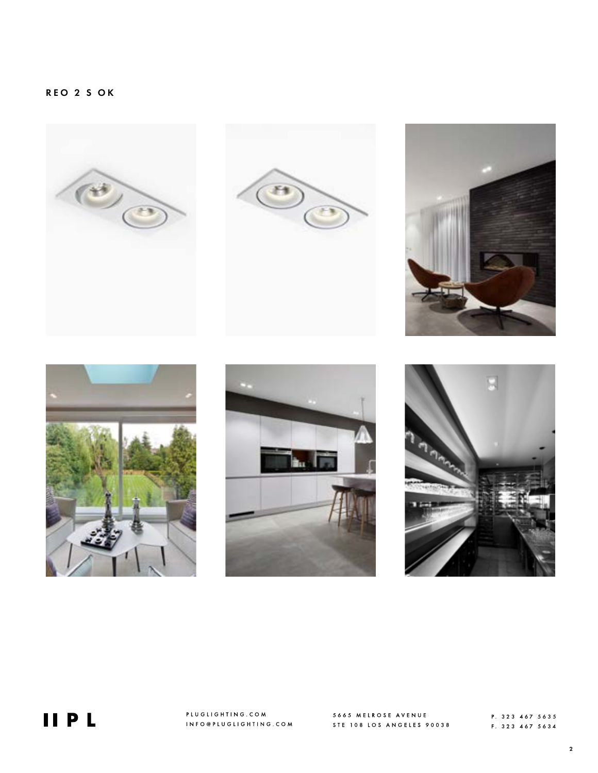











**IIPL** 

PLUGLIGHTING.COM INFO@PLUGLIGHTING.COM

5665 MELROSE AVENUE **5005 MELNOVE ALLELLE**<br>STE 108 LOS ANGELES 90038

P. 323 467 5635 F. 323 467 5634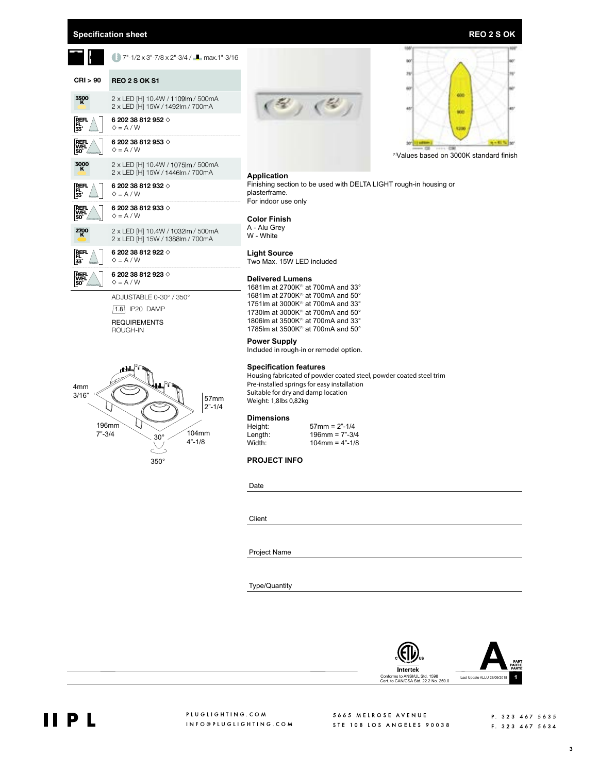## **Specification sheet REO 2 S OK**

|                          | 7"-1/2 x 3"-7/8 x 2"-3/4 / - max.1"-3/16                                      | 158<br>40                                                                                                                                                                                                                            |  |  |  |  |  |  |  |  |  |
|--------------------------|-------------------------------------------------------------------------------|--------------------------------------------------------------------------------------------------------------------------------------------------------------------------------------------------------------------------------------|--|--|--|--|--|--|--|--|--|
| CRI > 90                 | <b>REO 2 S OK S1</b>                                                          | 28/                                                                                                                                                                                                                                  |  |  |  |  |  |  |  |  |  |
| 3500<br>K                | 2 x LED [H] 10.4W / 1109 m / 500 m A<br>2 x LED [H] 15W / 1492lm / 700mA      | 600<br>$\mathcal{L}$ ( $\mathcal{L}$<br>481<br>90E                                                                                                                                                                                   |  |  |  |  |  |  |  |  |  |
| PEFL<br>33°              | 6 202 38 812 952 $\diamond$<br>$\diamond$ = A / W                             | 123                                                                                                                                                                                                                                  |  |  |  |  |  |  |  |  |  |
| REFL<br>50               | 6 202 38 812 953 $\diamond$<br>$\diamond$ = A / W                             | "Values based on 3000K standard finish                                                                                                                                                                                               |  |  |  |  |  |  |  |  |  |
| 3000<br>K                | 2 x LED [H] 10.4W / 1075 m / 500 mA<br>2 x LED [H] 15W / 1446lm / 700mA       | <b>Application</b>                                                                                                                                                                                                                   |  |  |  |  |  |  |  |  |  |
| REFL<br>FL<br>33°        | 6 202 38 812 932 $\diamond$<br>$\diamond$ = A / W                             | Finishing section to be used with DELTA LIGHT rough-in housing or<br>plasterframe.<br>For indoor use only                                                                                                                            |  |  |  |  |  |  |  |  |  |
| 쩂.<br>50                 | 6 202 38 812 933 $\diamond$<br>$\diamond$ = A / W                             | <b>Color Finish</b>                                                                                                                                                                                                                  |  |  |  |  |  |  |  |  |  |
| $\frac{2700}{K}$         | 2 x LED [H] 10.4W / 1032lm / 500mA<br>2 x LED [H] 15W / 1388lm / 700mA        | A - Alu Grey<br>W - White                                                                                                                                                                                                            |  |  |  |  |  |  |  |  |  |
| REFL<br>FL<br>33°        | 6 202 38 812 922 $\diamond$<br>$\diamond$ = A / W                             | <b>Light Source</b><br>Two Max. 15W LED included                                                                                                                                                                                     |  |  |  |  |  |  |  |  |  |
| 隳。                       | 6 202 38 812 923 $\diamond$<br>$\diamond$ = A / W                             | <b>Delivered Lumens</b><br>1681 Im at 2700 K(1) at 700 mA and 33°                                                                                                                                                                    |  |  |  |  |  |  |  |  |  |
|                          | ADJUSTABLE 0-30° / 350°<br>$1.8$ IP20 DAMP<br><b>REQUIREMENTS</b><br>ROUGH-IN | 1681 Im at 2700 K(1) at 700 mA and 50°<br>1751 Im at 3000K <sup>(1)</sup> at 700 mA and 33°<br>1730 Im at 3000 K(1) at 700 mA and 50°<br>1806 Im at 3500 K(1) at 700 mA and 33°<br>1785 Im at 3500K <sup>(1)</sup> at 700 mA and 50° |  |  |  |  |  |  |  |  |  |
|                          |                                                                               | <b>Power Supply</b><br>Included in rough-in or remodel option.                                                                                                                                                                       |  |  |  |  |  |  |  |  |  |
| 4 <sub>mm</sub><br>3/16" | 57mm<br>$2 - 1/4$                                                             | <b>Specification features</b><br>Housing fabricated of powder coated steel, powder coated steel trim<br>Pre-installed springs for easy installation<br>Suitable for dry and damp location<br>Weight: 1,8lbs 0,82kg                   |  |  |  |  |  |  |  |  |  |
|                          | 196mm                                                                         | <b>Dimensions</b><br>Height:<br>$57$ mm = $2" - 1/4$                                                                                                                                                                                 |  |  |  |  |  |  |  |  |  |
| $7 - 3/4$                | 104mm<br>$30^\circ$<br>$4 - 1/8$                                              | $196$ mm = $7" - 3/4$<br>Length:<br>Width:<br>$104$ mm = $4" - 1/8$                                                                                                                                                                  |  |  |  |  |  |  |  |  |  |
|                          | $350^\circ$                                                                   | <b>PROJECT INFO</b>                                                                                                                                                                                                                  |  |  |  |  |  |  |  |  |  |
|                          |                                                                               | Date                                                                                                                                                                                                                                 |  |  |  |  |  |  |  |  |  |
|                          |                                                                               | Client                                                                                                                                                                                                                               |  |  |  |  |  |  |  |  |  |
|                          |                                                                               | <b>Project Name</b>                                                                                                                                                                                                                  |  |  |  |  |  |  |  |  |  |

Type/Quantity



5665 MELROSE AVENUE 5665 MELROSE AVENUE<br>STE 108 LOS ANGELES 90038

P. 323 467 5635 F. 323 467 5634